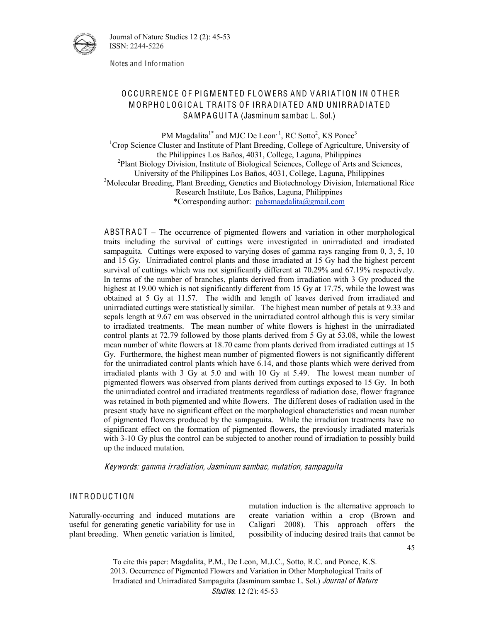

Journal of Nature Studies 12 (2): 45-53 ISSN: 2244-5226

Notes and Information

# O C CURRENCE OF PIG MENTED FLOWERS AND VARIATION IN OTHER MORPHOLOGICAL TRAITS OF IRRADIATED AND UNIRRADIATED SA MPA GUITA (Jasminum sambac L. Sol.)

PM Magdalita<sup>1\*</sup> and MJC De Leon<sup>, 1</sup>, RC Sotto<sup>2</sup>, KS Ponce<sup>3</sup> <sup>1</sup>Crop Science Cluster and Institute of Plant Breeding, College of Agriculture, University of the Philippines Los Baños, 4031, College, Laguna, Philippines <sup>2</sup> <sup>2</sup>Plant Biology Division, Institute of Biological Sciences, College of Arts and Sciences, University of the Philippines Los Baños, 4031, College, Laguna, Philippines 3 <sup>3</sup>Molecular Breeding, Plant Breeding, Genetics and Biotechnology Division, International Rice Research Institute, Los Baños, Laguna, Philippines \*Corresponding author: pabsmagdalita@gmail.com

ABSTRACT – The occurrence of pigmented flowers and variation in other morphological traits including the survival of cuttings were investigated in unirradiated and irradiated sampaguita. Cuttings were exposed to varying doses of gamma rays ranging from 0, 3, 5, 10 and 15 Gy. Unirradiated control plants and those irradiated at 15 Gy had the highest percent survival of cuttings which was not significantly different at 70.29% and 67.19% respectively. In terms of the number of branches, plants derived from irradiation with 3 Gy produced the highest at 19.00 which is not significantly different from 15 Gy at 17.75, while the lowest was obtained at 5 Gy at 11.57. The width and length of leaves derived from irradiated and unirradiated cuttings were statistically similar. The highest mean number of petals at 9.33 and sepals length at 9.67 cm was observed in the unirradiated control although this is very similar to irradiated treatments. The mean number of white flowers is highest in the unirradiated control plants at 72.79 followed by those plants derived from 5 Gy at 53.08, while the lowest mean number of white flowers at 18.70 came from plants derived from irradiated cuttings at 15 Gy. Furthermore, the highest mean number of pigmented flowers is not significantly different for the unirradiated control plants which have 6.14, and those plants which were derived from irradiated plants with 3 Gy at 5.0 and with 10 Gy at 5.49. The lowest mean number of pigmented flowers was observed from plants derived from cuttings exposed to 15 Gy. In both the unirradiated control and irradiated treatments regardless of radiation dose, flower fragrance was retained in both pigmented and white flowers. The different doses of radiation used in the present study have no significant effect on the morphological characteristics and mean number of pigmented flowers produced by the sampaguita. While the irradiation treatments have no significant effect on the formation of pigmented flowers, the previously irradiated materials with 3-10 Gy plus the control can be subjected to another round of irradiation to possibly build up the induced mutation.

Keyword<sup>s</sup>: gamm<sup>a</sup> irradiation, Jasminu<sup>m</sup> <sup>s</sup>ambac, <sup>m</sup>utation, <sup>s</sup>ampaguit<sup>a</sup>

### INTRODUCTION

Naturally-occurring and induced mutations are useful for generating genetic variability for use in plant breeding. When genetic variation is limited, mutation induction is the alternative approach to create variation within a crop (Brown and Caligari 2008). This approach offers the possibility of inducing desired traits that cannot be

To cite this paper: Magdalita, P.M., De Leon, M.J.C., Sotto, R.C. and Ponce, K.S. 2013. Occurrence of Pigmented Flowers and Variation in Other Morphological Traits of Irradiated and Unirradiated Sampaguita (Jasminum sambac L. Sol.) Journal <sup>o</sup>f Natur<sup>e</sup> Studies. 12 (2); 45-53

45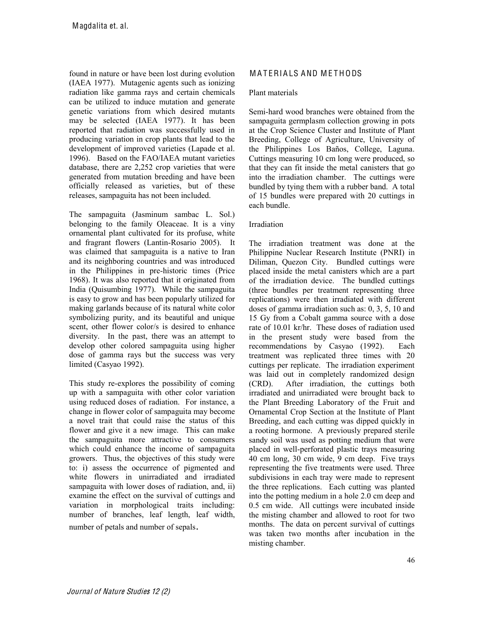found in nature or have been lost during evolution (IAEA 1977). Mutagenic agents such as ionizing radiation like gamma rays and certain chemicals can be utilized to induce mutation and generate genetic variations from which desired mutants may be selected (IAEA 1977). It has been reported that radiation was successfully used in producing variation in crop plants that lead to the development of improved varieties (Lapade et al. 1996). Based on the FAO/IAEA mutant varieties database, there are 2,252 crop varieties that were generated from mutation breeding and have been officially released as varieties, but of these releases, sampaguita has not been included.

The sampaguita (Jasminum sambac L. Sol.) belonging to the family Oleaceae. It is a viny ornamental plant cultivated for its profuse, white and fragrant flowers (Lantin-Rosario 2005). It was claimed that sampaguita is a native to Iran and its neighboring countries and was introduced in the Philippines in pre-historic times (Price 1968). It was also reported that it originated from India (Quisumbing 1977). While the sampaguita is easy to grow and has been popularly utilized for making garlands because of its natural white color symbolizing purity, and its beautiful and unique scent, other flower color/s is desired to enhance diversity. In the past, there was an attempt to develop other colored sampaguita using higher dose of gamma rays but the success was very limited (Casyao 1992).

This study re-explores the possibility of coming up with a sampaguita with other color variation using reduced doses of radiation. For instance, a change in flower color of sampaguita may become a novel trait that could raise the status of this flower and give it a new image. This can make the sampaguita more attractive to consumers which could enhance the income of sampaguita growers. Thus, the objectives of this study were to: i) assess the occurrence of pigmented and white flowers in unirradiated and irradiated sampaguita with lower doses of radiation, and, ii) examine the effect on the survival of cuttings and variation in morphological traits including: number of branches, leaf length, leaf width,

## number of petals and number of sepals.

# M A T ERIALS AND METHODS

#### Plant materials

Semi-hard wood branches were obtained from the sampaguita germplasm collection growing in pots at the Crop Science Cluster and Institute of Plant Breeding, College of Agriculture, University of the Philippines Los Baños, College, Laguna. Cuttings measuring 10 cm long were produced, so that they can fit inside the metal canisters that go into the irradiation chamber. The cuttings were bundled by tying them with a rubber band. A total of 15 bundles were prepared with 20 cuttings in each bundle.

#### Irradiation

The irradiation treatment was done at the Philippine Nuclear Research Institute (PNRI) in Diliman, Quezon City. Bundled cuttings were placed inside the metal canisters which are a part of the irradiation device. The bundled cuttings (three bundles per treatment representing three replications) were then irradiated with different doses of gamma irradiation such as: 0, 3, 5, 10 and 15 Gy from a Cobalt gamma source with a dose rate of 10.01 kr/hr. These doses of radiation used in the present study were based from the recommendations by Casyao (1992). Each treatment was replicated three times with 20 cuttings per replicate. The irradiation experiment was laid out in completely randomized design (CRD). After irradiation, the cuttings both irradiated and unirradiated were brought back to the Plant Breeding Laboratory of the Fruit and Ornamental Crop Section at the Institute of Plant Breeding, and each cutting was dipped quickly in a rooting hormone. A previously prepared sterile sandy soil was used as potting medium that were placed in well-perforated plastic trays measuring 40 cm long, 30 cm wide, 9 cm deep. Five trays representing the five treatments were used. Three subdivisions in each tray were made to represent the three replications. Each cutting was planted into the potting medium in a hole 2.0 cm deep and 0.5 cm wide. All cuttings were incubated inside the misting chamber and allowed to root for two months. The data on percent survival of cuttings was taken two months after incubation in the misting chamber.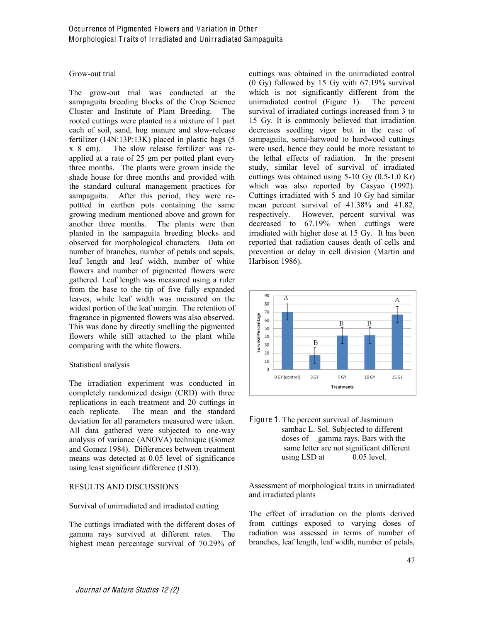#### Grow-out trial

The grow-out trial was conducted at the sampaguita breeding blocks of the Crop Science Cluster and Institute of Plant Breeding. The rooted cuttings were planted in a mixture of 1 part each of soil, sand, hog manure and slow-release fertilizer (14N:13P:13K) placed in plastic bags (5 x 8 cm). The slow release fertilizer was reapplied at a rate of 25 gm per potted plant every three months. The plants were grown inside the shade house for three months and provided with the standard cultural management practices for sampaguita. After this period, they were repottted in earthen pots containing the same growing medium mentioned above and grown for another three months. The plants were then planted in the sampaguita breeding blocks and observed for morphological characters. Data on number of branches, number of petals and sepals, leaf length and leaf width, number of white flowers and number of pigmented flowers were gathered. Leaf length was measured using a ruler from the base to the tip of five fully expanded leaves, while leaf width was measured on the widest portion of the leaf margin. The retention of fragrance in pigmented flowers was also observed. This was done by directly smelling the pigmented flowers while still attached to the plant while comparing with the white flowers.

#### Statistical analysis

The irradiation experiment was conducted in completely randomized design (CRD) with three replications in each treatment and 20 cuttings in each replicate. The mean and the standard deviation for all parameters measured were taken. All data gathered were subjected to one-way analysis of variance (ANOVA) technique (Gomez and Gomez 1984). Differences between treatment means was detected at 0.05 level of significance using least significant difference (LSD).

## RESULTS AND DISCUSSIONS

#### Survival of unirradiated and irradiated cutting

The cuttings irradiated with the different doses of gamma rays survived at different rates. The highest mean percentage survival of 70.29% of cuttings was obtained in the unirradiated control (0 Gy) followed by 15 Gy with 67.19% survival which is not significantly different from the unirradiated control (Figure 1). The percent survival of irradiated cuttings increased from 3 to 15 Gy. It is commonly believed that irradiation decreases seedling vigor but in the case of sampaguita, semi-harwood to hardwood cuttings were used, hence they could be more resistant to the lethal effects of radiation. In the present study, similar level of survival of irradiated cuttings was obtained using 5-10 Gy (0.5-1.0 Kr) which was also reported by Casyao (1992). Cuttings irradiated with 5 and 10 Gy had similar mean percent survival of 41.38% and 41.82, respectively. However, percent survival was decreased to 67.19% when cuttings were irradiated with higher dose at 15 Gy. It has been reported that radiation causes death of cells and prevention or delay in cell division (Martin and Harbison 1986).





Assessment of morphological traits in unirradiated and irradiated plants

The effect of irradiation on the plants derived from cuttings exposed to varying doses of radiation was assessed in terms of number of branches, leaf length, leaf width, number of petals,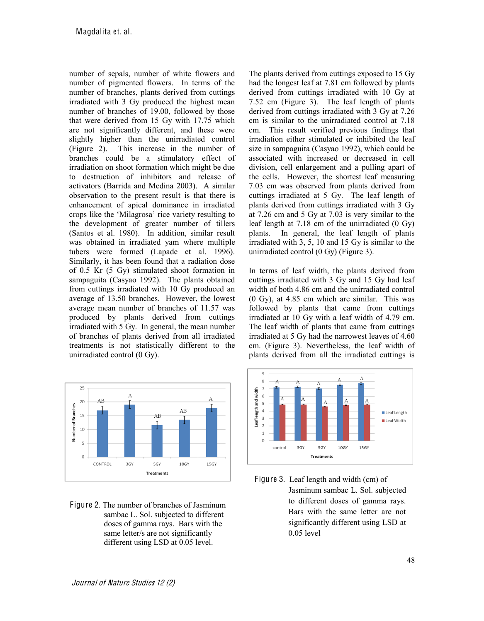number of sepals, number of white flowers and number of pigmented flowers. In terms of the number of branches, plants derived from cuttings irradiated with 3 Gy produced the highest mean number of branches of 19.00, followed by those that were derived from 15 Gy with 17.75 which are not significantly different, and these were slightly higher than the unirradiated control (Figure 2). This increase in the number of branches could be a stimulatory effect of irradiation on shoot formation which might be due to destruction of inhibitors and release of activators (Barrida and Medina 2003). A similar observation to the present result is that there is enhancement of apical dominance in irradiated crops like the 'Milagrosa' rice variety resulting to the development of greater number of tillers (Santos et al. 1980). In addition, similar result was obtained in irradiated yam where multiple tubers were formed (Lapade et al. 1996). Similarly, it has been found that a radiation dose of 0.5 Kr (5 Gy) stimulated shoot formation in sampaguita (Casyao 1992). The plants obtained from cuttings irradiated with 10 Gy produced an average of 13.50 branches. However, the lowest average mean number of branches of 11.57 was produced by plants derived from cuttings irradiated with 5 Gy. In general, the mean number of branches of plants derived from all irradiated treatments is not statistically different to the unirradiated control (0 Gy).



Figure 2. The number of branches of Jasminum sambac L. Sol. subjected to different doses of gamma rays. Bars with the same letter/s are not significantly different using LSD at 0.05 level.

The plants derived from cuttings exposed to 15 Gy had the longest leaf at 7.81 cm followed by plants derived from cuttings irradiated with 10 Gy at 7.52 cm (Figure 3). The leaf length of plants derived from cuttings irradiated with 3 Gy at 7.26 cm is similar to the unirradiated control at 7.18 cm. This result verified previous findings that irradiation either stimulated or inhibited the leaf size in sampaguita (Casyao 1992), which could be associated with increased or decreased in cell division, cell enlargement and a pulling apart of the cells. However, the shortest leaf measuring 7.03 cm was observed from plants derived from cuttings irradiated at 5 Gy. The leaf length of plants derived from cuttings irradiated with 3 Gy at 7.26 cm and 5 Gy at 7.03 is very similar to the leaf length at 7.18 cm of the unirradiated (0 Gy) plants. In general, the leaf length of plants irradiated with 3, 5, 10 and 15 Gy is similar to the unirradiated control (0 Gy) (Figure 3).

In terms of leaf width, the plants derived from cuttings irradiated with 3 Gy and 15 Gy had leaf width of both 4.86 cm and the unirradiated control (0 Gy), at 4.85 cm which are similar. This was followed by plants that came from cuttings irradiated at 10 Gy with a leaf width of 4.79 cm. The leaf width of plants that came from cuttings irradiated at 5 Gy had the narrowest leaves of 4.60 cm. (Figure 3). Nevertheless, the leaf width of plants derived from all the irradiated cuttings is



Figure 3. Leaf length and width (cm) of Jasminum sambac L. Sol. subjected to different doses of gamma rays. Bars with the same letter are not significantly different using LSD at 0.05 level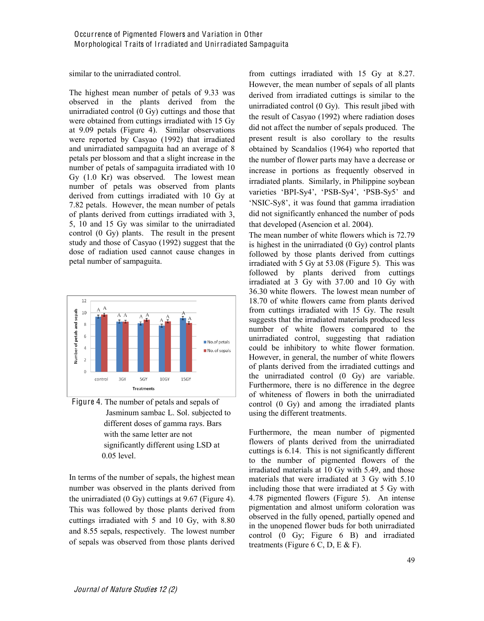similar to the unirradiated control.

The highest mean number of petals of 9.33 was observed in the plants derived from the unirradiated control (0 Gy) cuttings and those that were obtained from cuttings irradiated with 15 Gy at 9.09 petals (Figure 4). Similar observations were reported by Casyao (1992) that irradiated and unirradiated sampaguita had an average of 8 petals per blossom and that a slight increase in the number of petals of sampaguita irradiated with 10 Gy (1.0 Kr) was observed. The lowest mean number of petals was observed from plants derived from cuttings irradiated with 10 Gy at 7.82 petals. However, the mean number of petals of plants derived from cuttings irradiated with 3, 5, 10 and 15 Gy was similar to the unirradiated control (0 Gy) plants. The result in the present study and those of Casyao (1992) suggest that the dose of radiation used cannot cause changes in petal number of sampaguita.



Figure 4. The number of petals and sepals of Jasminum sambac L. Sol. subjected to different doses of gamma rays. Bars with the same letter are not significantly different using LSD at 0.05 level.

In terms of the number of sepals, the highest mean number was observed in the plants derived from the unirradiated (0 Gy) cuttings at 9.67 (Figure 4). This was followed by those plants derived from cuttings irradiated with 5 and 10 Gy, with 8.80 and 8.55 sepals, respectively. The lowest number of sepals was observed from those plants derived from cuttings irradiated with 15 Gy at 8.27. However, the mean number of sepals of all plants derived from irradiated cuttings is similar to the unirradiated control (0 Gy). This result jibed with the result of Casyao (1992) where radiation doses did not affect the number of sepals produced. The present result is also corollary to the results obtained by Scandalios (1964) who reported that the number of flower parts may have a decrease or increase in portions as frequently observed in irradiated plants. Similarly, in Philippine soybean varieties 'BPI-Sy4', 'PSB-Sy4', 'PSB-Sy5' and 'NSIC-Sy8', it was found that gamma irradiation did not significantly enhanced the number of pods that developed (Asencion et al. 2004).

The mean number of white flowers which is 72.79 is highest in the unirradiated (0 Gy) control plants followed by those plants derived from cuttings irradiated with 5 Gy at 53.08 (Figure 5). This was followed by plants derived from cuttings irradiated at 3 Gy with 37.00 and 10 Gy with 36.30 white flowers. The lowest mean number of 18.70 of white flowers came from plants derived from cuttings irradiated with 15 Gy. The result suggests that the irradiated materials produced less number of white flowers compared to the unirradiated control, suggesting that radiation could be inhibitory to white flower formation. However, in general, the number of white flowers of plants derived from the irradiated cuttings and the unirradiated control (0 Gy) are variable. Furthermore, there is no difference in the degree of whiteness of flowers in both the unirradiated control (0 Gy) and among the irradiated plants using the different treatments.

Furthermore, the mean number of pigmented flowers of plants derived from the unirradiated cuttings is 6.14. This is not significantly different to the number of pigmented flowers of the irradiated materials at 10 Gy with 5.49, and those materials that were irradiated at 3 Gy with 5.10 including those that were irradiated at 5 Gy with 4.78 pigmented flowers (Figure 5). An intense pigmentation and almost uniform coloration was observed in the fully opened, partially opened and in the unopened flower buds for both unirradiated control (0 Gy; Figure 6 B) and irradiated treatments (Figure 6 C, D, E  $\&$  F).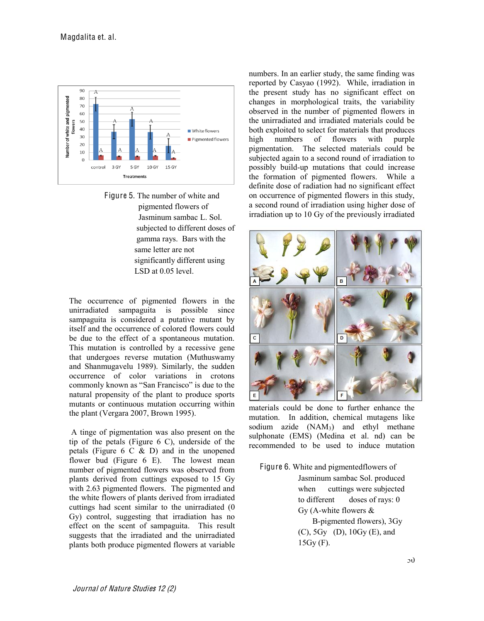



The occurrence of pigmented flowers in the unirradiated sampaguita is possible since sampaguita is considered a putative mutant by itself and the occurrence of colored flowers could be due to the effect of a spontaneous mutation. This mutation is controlled by a recessive gene that undergoes reverse mutation (Muthuswamy and Shanmugavelu 1989). Similarly, the sudden occurrence of color variations in crotons commonly known as "San Francisco" is due to the natural propensity of the plant to produce sports mutants or continuous mutation occurring within the plant (Vergara 2007, Brown 1995).

A tinge of pigmentation was also present on the tip of the petals (Figure 6 C), underside of the petals (Figure  $6 \text{ } C \& D$ ) and in the unopened flower bud (Figure 6 E). The lowest mean number of pigmented flowers was observed from plants derived from cuttings exposed to 15 Gy with 2.63 pigmented flowers. The pigmented and the white flowers of plants derived from irradiated cuttings had scent similar to the unirradiated (0 Gy) control, suggesting that irradiation has no effect on the scent of sampaguita. This result suggests that the irradiated and the unirradiated plants both produce pigmented flowers at variable numbers. In an earlier study, the same finding was reported by Casyao (1992). While, irradiation in the present study has no significant effect on changes in morphological traits, the variability observed in the number of pigmented flowers in the unirradiated and irradiated materials could be both exploited to select for materials that produces high numbers of flowers with purple pigmentation. The selected materials could be subjected again to a second round of irradiation to possibly build-up mutations that could increase the formation of pigmented flowers. While a definite dose of radiation had no significant effect on occurrence of pigmented flowers in this study, a second round of irradiation using higher dose of irradiation up to 10 Gy of the previously irradiated



materials could be done to further enhance the mutation. In addition, chemical mutagens like sodium azide (NAM<sub>3</sub>) and ethyl methane sulphonate (EMS) (Medina et al. nd) can be recommended to be used to induce mutation

Figure 6. White and pigmentedflowers of Jasminum sambac Sol. produced when cuttings were subjected to different doses of rays: 0 Gy (A-white flowers & B-pigmented flowers), 3Gy (C), 5Gy (D), 10Gy (E), and 15Gy (F).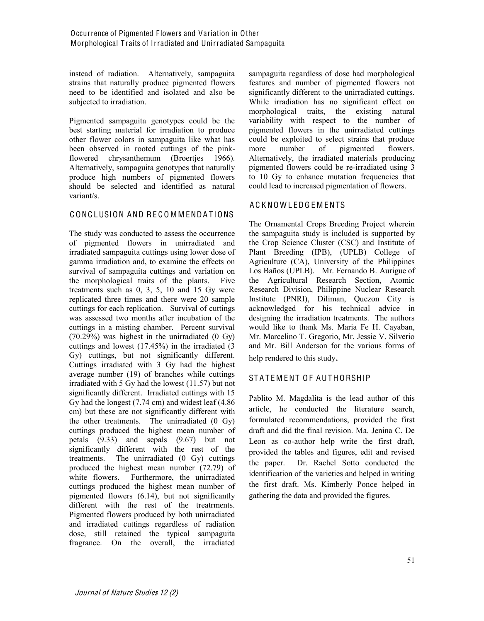instead of radiation. Alternatively, sampaguita strains that naturally produce pigmented flowers need to be identified and isolated and also be subjected to irradiation.

Pigmented sampaguita genotypes could be the best starting material for irradiation to produce other flower colors in sampaguita like what has been observed in rooted cuttings of the pinkflowered chrysanthemum (Broertjes 1966). Alternatively, sampaguita genotypes that naturally produce high numbers of pigmented flowers should be selected and identified as natural variant/s.

## C ONC LUSION AND RE C O M M ENDA T IONS

The study was conducted to assess the occurrence of pigmented flowers in unirradiated and irradiated sampaguita cuttings using lower dose of gamma irradiation and, to examine the effects on survival of sampaguita cuttings and variation on the morphological traits of the plants. Five treatments such as 0, 3, 5, 10 and 15 Gy were replicated three times and there were 20 sample cuttings for each replication. Survival of cuttings was assessed two months after incubation of the cuttings in a misting chamber. Percent survival (70.29%) was highest in the unirradiated (0 Gy) cuttings and lowest (17.45%) in the irradiated (3 Gy) cuttings, but not significantly different. Cuttings irradiated with 3 Gy had the highest average number (19) of branches while cuttings irradiated with 5 Gy had the lowest (11.57) but not significantly different. Irradiated cuttings with 15 Gy had the longest (7.74 cm) and widest leaf (4.86 cm) but these are not significantly different with the other treatments. The unirradiated (0 Gy) cuttings produced the highest mean number of petals (9.33) and sepals (9.67) but not significantly different with the rest of the treatments. The unirradiated (0 Gy) cuttings produced the highest mean number (72.79) of white flowers. Furthermore, the unirradiated cuttings produced the highest mean number of pigmented flowers (6.14), but not significantly different with the rest of the treatrments. Pigmented flowers produced by both unirradiated and irradiated cuttings regardless of radiation dose, still retained the typical sampaguita fragrance. On the overall, the irradiated

sampaguita regardless of dose had morphological features and number of pigmented flowers not significantly different to the unirradiated cuttings. While irradiation has no significant effect on morphological traits, the existing natural variability with respect to the number of pigmented flowers in the unirradiated cuttings could be exploited to select strains that produce more number of pigmented flowers. Alternatively, the irradiated materials producing pigmented flowers could be re-irradiated using 3 to 10 Gy to enhance mutation frequencies that could lead to increased pigmentation of flowers.

# A C K NO W L EDG E M ENTS

The Ornamental Crops Breeding Project wherein the sampaguita study is included is supported by the Crop Science Cluster (CSC) and Institute of Plant Breeding (IPB), (UPLB) College of Agriculture (CA), University of the Philippines Los Baños (UPLB). Mr. Fernando B. Aurigue of the Agricultural Research Section, Atomic Research Division, Philippine Nuclear Research Institute (PNRI), Diliman, Quezon City is acknowledged for his technical advice in designing the irradiation treatments. The authors would like to thank Ms. Maria Fe H. Cayaban, Mr. Marcelino T. Gregorio, Mr. Jessie V. Silverio and Mr. Bill Anderson for the various forms of help rendered to this study.

# STATEMENT OF AUTHORSHIP

Pablito M. Magdalita is the lead author of this article, he conducted the literature search, formulated recommendations, provided the first draft and did the final revision. Ma. Jenina C. De Leon as co-author help write the first draft, provided the tables and figures, edit and revised the paper. Dr. Rachel Sotto conducted the identification of the varieties and helped in writing the first draft. Ms. Kimberly Ponce helped in gathering the data and provided the figures.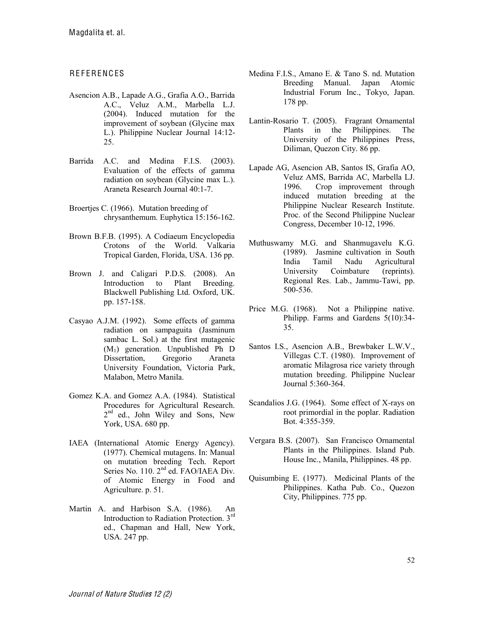# **REFERENCES**

- Asencion A.B., Lapade A.G., Grafia A.O., Barrida A.C., Veluz A.M., Marbella L.J. (2004). Induced mutation for the improvement of soybean (Glycine max L.). Philippine Nuclear Journal 14:12- 25.
- Barrida A.C. and Medina F.I.S. (2003). Evaluation of the effects of gamma radiation on soybean (Glycine max L.). Araneta Research Journal 40:1-7.
- Broertjes C. (1966). Mutation breeding of chrysanthemum. Euphytica 15:156-162.
- Brown B.F.B. (1995). A Codiaeum Encyclopedia Crotons of the World. Valkaria Tropical Garden, Florida, USA. 136 pp.
- Brown J. and Caligari P.D.S. (2008). An Introduction to Plant Breeding. Blackwell Publishing Ltd. Oxford, UK. pp. 157-158.
- Casyao A.J.M. (1992). Some effects of gamma radiation on sampaguita (Jasminum sambac L. Sol.) at the first mutagenic (M1) generation. Unpublished Ph D Dissertation, Gregorio Araneta University Foundation, Victoria Park, Malabon, Metro Manila.
- Gomez K.A. and Gomez A.A. (1984). Statistical Procedures for Agricultural Research. 2nd ed., John Wiley and Sons, New York, USA. 680 pp.
- IAEA (International Atomic Energy Agency). (1977). Chemical mutagens. In: Manual on mutation breeding Tech. Report Series No. 110. 2<sup>nd</sup> ed. FAO/IAEA Div. of Atomic Energy in Food and Agriculture. p. 51.
- Martin A. and Harbison S.A. (1986). An Introduction to Radiation Protection. 3rd ed., Chapman and Hall, New York, USA. 247 pp.
- Medina F.I.S., Amano E. & Tano S. nd. Mutation Breeding Manual. Japan Atomic Industrial Forum Inc., Tokyo, Japan. 178 pp.
- Lantin-Rosario T. (2005). Fragrant Ornamental Plants in the Philippines. The University of the Philippines Press, Diliman, Quezon City. 86 pp.
- Lapade AG, Asencion AB, Santos IS, Grafia AO, Veluz AMS, Barrida AC, Marbella LJ. 1996. Crop improvement through induced mutation breeding at the Philippine Nuclear Research Institute. Proc. of the Second Philippine Nuclear Congress, December 10-12, 1996.
- Muthuswamy M.G. and Shanmugavelu K.G. (1989). Jasmine cultivation in South India Tamil Nadu Agricultural University Coimbature (reprints). Regional Res. Lab., Jammu-Tawi, pp. 500-536.
- Price M.G. (1968). Not a Philippine native. Philipp. Farms and Gardens 5(10):34- 35.
- Santos I.S., Asencion A.B., Brewbaker L.W.V., Villegas C.T. (1980). Improvement of aromatic Milagrosa rice variety through mutation breeding. Philippine Nuclear Journal 5:360-364.
- Scandalios J.G. (1964). Some effect of X-rays on root primordial in the poplar. Radiation Bot. 4:355-359.
- Vergara B.S. (2007). San Francisco Ornamental Plants in the Philippines. Island Pub. House Inc., Manila, Philippines. 48 pp.
- Quisumbing E. (1977). Medicinal Plants of the Philippines. Katha Pub. Co., Quezon City, Philippines. 775 pp.